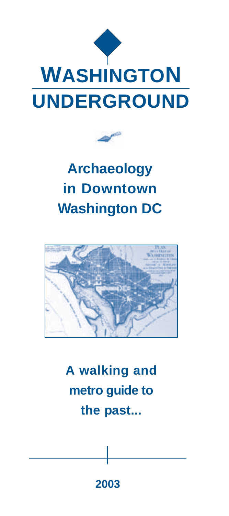



# **Archaeology in Downtown Washington DC**



**A walking and metro guide to the past...**

**2003**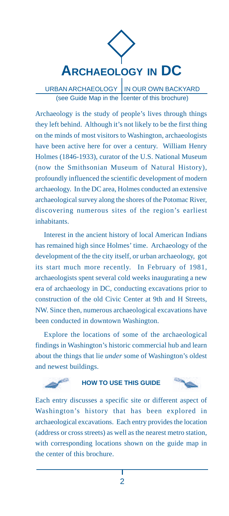

URBAN ARCHAEOLOGY IN OUR OWN BACKYARD (see Guide Map in the center of this brochure)

Archaeology is the study of people's lives through things they left behind. Although it's not likely to be the first thing on the minds of most visitors to Washington, archaeologists have been active here for over a century. William Henry Holmes (1846-1933), curator of the U.S. National Museum (now the Smithsonian Museum of Natural History), profoundly influenced the scientific development of modern archaeology. In the DC area, Holmes conducted an extensive archaeological survey along the shores of the Potomac River, discovering numerous sites of the region's earliest inhabitants.

Interest in the ancient history of local American Indians has remained high since Holmes' time. Archaeology of the development of the the city itself, or urban archaeology, got its start much more recently. In February of 1981, archaeologists spent several cold weeks inaugurating a new era of archaeology in DC, conducting excavations prior to construction of the old Civic Center at 9th and H Streets, NW. Since then, numerous archaeological excavations have been conducted in downtown Washington.

Explore the locations of some of the archaeological findings in Washington's historic commercial hub and learn about the things that lie *under* some of Washington's oldest and newest buildings.

### **HOW TO USE THIS GUIDE**



Each entry discusses a specific site or different aspect of Washington's history that has been explored in archaeological excavations. Each entry provides the location (address or cross streets) as well as the nearest metro station, with corresponding locations shown on the guide map in the center of this brochure.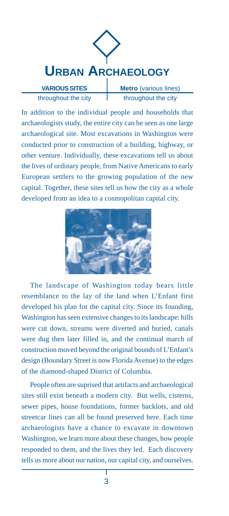

throughout the city

**Metro** (various lines) throughout the city

In addition to the individual people and households that archaeologists study, the entire city can be seen as one large archaeological site. Most excavations in Washington were conducted prior to construction of a building, highway, or other venture. Individually, these excavations tell us about the lives of ordinary people, from Native Americans to early European settlers to the growing population of the new capital. Together, these sites tell us how the city as a whole developed from an idea to a cosmopolitan capital city.



The landscape of Washington today bears little resemblance to the lay of the land when L'Enfant first developed his plan for the capital city. Since its founding, Washington has seen extensive changes to its landscape: hills were cut down, streams were diverted and buried, canals were dug then later filled in, and the continual march of construction moved beyond the original bounds of L'Enfant's design (Boundary Street is now Florida Avenue) to the edges of the diamond-shaped District of Columbia.

People often are suprised that artifacts and archaeological sites still exist beneath a modern city. But wells, cisterns, sewer pipes, house foundations, former backlots, and old streetcar lines can all be found preserved here. Each time archaeologists have a chance to excavate in downtown Washington, we learn more about these changes, how people responded to them, and the lives they led. Each discovery tells us more about our nation, our capital city, and ourselves.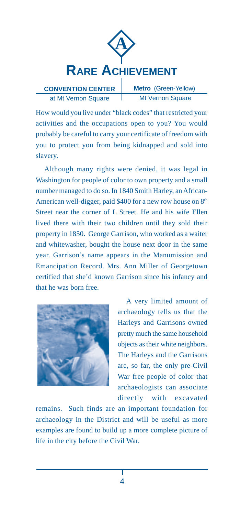

**CONVENTION CENTER** at Mt Vernon Square

**Metro** (Green-Yellow) Mt Vernon Square

How would you live under "black codes" that restricted your activities and the occupations open to you? You would probably be careful to carry your certificate of freedom with you to protect you from being kidnapped and sold into slavery.

Although many rights were denied, it was legal in Washington for people of color to own property and a small number managed to do so. In 1840 Smith Harley, an African-American well-digger, paid \$400 for a new row house on  $8<sup>th</sup>$ Street near the corner of L Street. He and his wife Ellen lived there with their two children until they sold their property in 1850. George Garrison, who worked as a waiter and whitewasher, bought the house next door in the same year. Garrison's name appears in the Manumission and Emancipation Record. Mrs. Ann Miller of Georgetown certified that she'd known Garrison since his infancy and that he was born free.



A very limited amount of archaeology tells us that the Harleys and Garrisons owned pretty much the same household objects as their white neighbors. The Harleys and the Garrisons are, so far, the only pre-Civil War free people of color that archaeologists can associate directly with excavated

remains. Such finds are an important foundation for archaeology in the District and will be useful as more examples are found to build up a more complete picture of life in the city before the Civil War.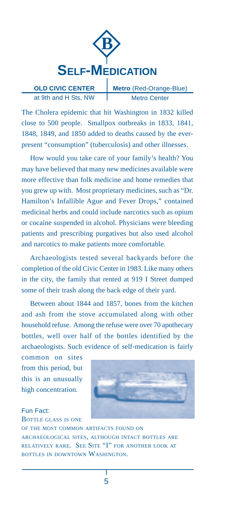

**OLD CIVIC CENTER** at 9th and H Sts, NW **Metro** (Red-Orange-Blue) Metro Center

The Cholera epidemic that hit Washington in 1832 killed close to 500 people. Smallpox outbreaks in 1833, 1841, 1848, 1849, and 1850 added to deaths caused by the everpresent "consumption" (tuberculosis) and other illnesses.

How would you take care of your family's health? You may have believed that many new medicines available were more effective than folk medicine and home remedies that you grew up with. Most proprietary medicines, such as "Dr. Hamilton's Infallible Ague and Fever Drops," contained medicinal herbs and could include narcotics such as opium or cocaine suspended in alcohol. Physicians were bleeding patients and prescribing purgatives but also used alcohol and narcotics to make patients more comfortable.

Archaeologists tested several backyards before the completion of the old Civic Center in 1983. Like many others in the city, the family that rented at 919 I Street dumped some of their trash along the back edge of their yard.

Between about 1844 and 1857, bones from the kitchen and ash from the stove accumulated along with other household refuse. Among the refuse were over 70 apothecary bottles, well over half of the bottles identified by the archaeologists. Such evidence of self-medication is fairly

common on sites from this period, but this is an unusually high concentration.

## Fun Fact:

BOTTLE GLASS IS ONE



OF THE MOST COMMON ARTIFACTS FOUND ON ARCHAEOLOGICAL SITES, ALTHOUGH INTACT BOTTLES ARE RELATIVELY RARE. SEE SITE "I" FOR ANOTHER LOOK AT BOTTLES IN DOWNTOWN WASHINGTON.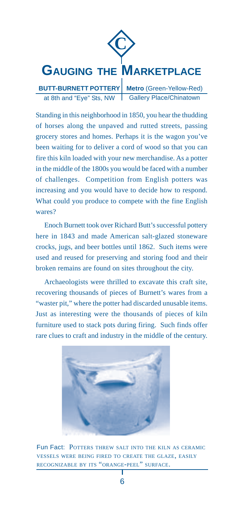

Standing in this neighborhood in 1850, you hear the thudding of horses along the unpaved and rutted streets, passing grocery stores and homes. Perhaps it is the wagon you've been waiting for to deliver a cord of wood so that you can fire this kiln loaded with your new merchandise. As a potter in the middle of the 1800s you would be faced with a number of challenges. Competition from English potters was increasing and you would have to decide how to respond. What could you produce to compete with the fine English wares?

Enoch Burnett took over Richard Butt's successful pottery here in 1843 and made American salt-glazed stoneware crocks, jugs, and beer bottles until 1862. Such items were used and reused for preserving and storing food and their broken remains are found on sites throughout the city.

Archaeologists were thrilled to excavate this craft site, recovering thousands of pieces of Burnett's wares from a "waster pit," where the potter had discarded unusable items. Just as interesting were the thousands of pieces of kiln furniture used to stack pots during firing. Such finds offer rare clues to craft and industry in the middle of the century.



Fun Fact: POTTERS THREW SALT INTO THE KILN AS CERAMIC VESSELS WERE BEING FIRED TO CREATE THE GLAZE, EASILY RECOGNIZABLE BY ITS "ORANGE-PEEL" SURFACE.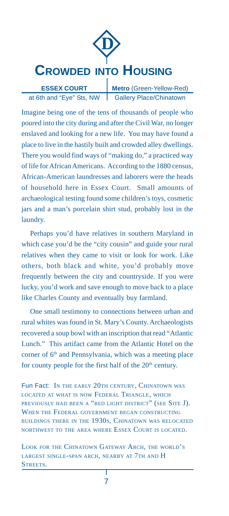

at 6th and "Eye" Sts, NW Gallery Place/Chinatown **Metro** (Green-Yellow-Red)

Imagine being one of the tens of thousands of people who poured into the city during and after the Civil War, no longer enslaved and looking for a new life. You may have found a place to live in the hastily built and crowded alley dwellings. There you would find ways of "making do," a practiced way of life for African Americans. According to the 1880 census, African-American laundresses and laborers were the heads of household here in Essex Court. Small amounts of archaeological testing found some children's toys, cosmetic jars and a man's porcelain shirt stud, probably lost in the laundry.

Perhaps you'd have relatives in southern Maryland in which case you'd be the "city cousin" and guide your rural relatives when they came to visit or look for work. Like others, both black and white, you'd probably move frequently between the city and countryside. If you were lucky, you'd work and save enough to move back to a place like Charles County and eventually buy farmland.

One small testimony to connections between urban and rural whites was found in St. Mary's County. Archaeologists recovered a soup bowl with an inscription that read "Atlantic Lunch." This artifact came from the Atlantic Hotel on the corner of 6<sup>th</sup> and Pennsylvania, which was a meeting place for county people for the first half of the  $20<sup>th</sup>$  century.

Fun Fact: In the early 20th CENTURY, CHINATOWN WAS LOCATED AT WHAT IS NOW FEDERAL TRIANGLE, WHICH PREVIOUSLY HAD BEEN A "RED LIGHT DISTRICT" (SEE SITE J). WHEN THE FEDERAL GOVERNMENT BEGAN CONSTRUCTING BUILDINGS THERE IN THE 1930S, CHINATOWN WAS RELOCATED NORTHWEST TO THE AREA WHERE ESSEX COURT IS LOCATED.

LOOK FOR THE CHINATOWN GATEWAY ARCH, THE WORLD'S LARGEST SINGLE-SPAN ARCH, NEARBY AT 7TH AND H STREETS.T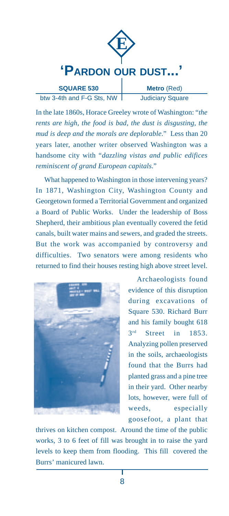

In the late 1860s, Horace Greeley wrote of Washington: "*the rents are high, the food is bad, the dust is disgusting, the mud is deep and the morals are deplorable*." Less than 20 years later, another writer observed Washington was a handsome city with "*dazzling vistas and public edifices reminiscent of grand European capitals*."

What happened to Washington in those intervening years? In 1871, Washington City, Washington County and Georgetown formed a Territorial Government and organized a Board of Public Works. Under the leadership of Boss Shepherd, their ambitious plan eventually covered the fetid canals, built water mains and sewers, and graded the streets. But the work was accompanied by controversy and difficulties. Two senators were among residents who returned to find their houses resting high above street level.



Archaeologists found evidence of this disruption during excavations of Square 530. Richard Burr and his family bought 618 3rd Street in 1853. Analyzing pollen preserved in the soils, archaeologists found that the Burrs had planted grass and a pine tree in their yard. Other nearby lots, however, were full of weeds, especially goosefoot, a plant that

thrives on kitchen compost. Around the time of the public works, 3 to 6 feet of fill was brought in to raise the yard levels to keep them from flooding. This fill covered the Burrs' manicured lawn.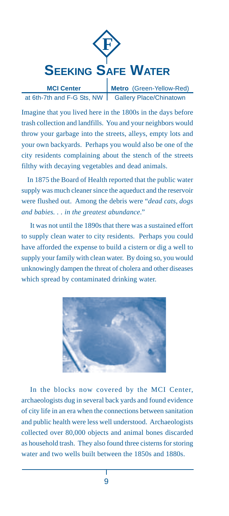

**MCI Center** at 6th-7th and F-G Sts, NW Gallery Place/Chinatown **Metro** (Green-Yellow-Red)

Imagine that you lived here in the 1800s in the days before trash collection and landfills. You and your neighbors would throw your garbage into the streets, alleys, empty lots and your own backyards. Perhaps you would also be one of the city residents complaining about the stench of the streets filthy with decaying vegetables and dead animals.

 In 1875 the Board of Health reported that the public water supply was much cleaner since the aqueduct and the reservoir were flushed out. Among the debris were "*dead cats, dogs and babies. . . in the greatest abundance*."

It was not until the 1890s that there was a sustained effort to supply clean water to city residents. Perhaps you could have afforded the expense to build a cistern or dig a well to supply your family with clean water. By doing so, you would unknowingly dampen the threat of cholera and other diseases which spread by contaminated drinking water.



In the blocks now covered by the MCI Center, archaeologists dug in several back yards and found evidence of city life in an era when the connections between sanitation and public health were less well understood. Archaeologists collected over 80,000 objects and animal bones discarded as household trash. They also found three cisterns for storing water and two wells built between the 1850s and 1880s.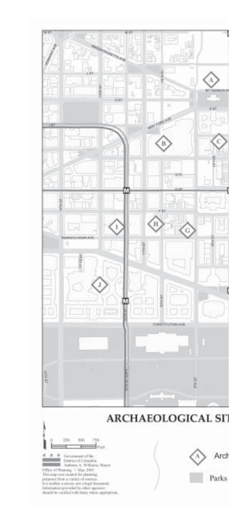





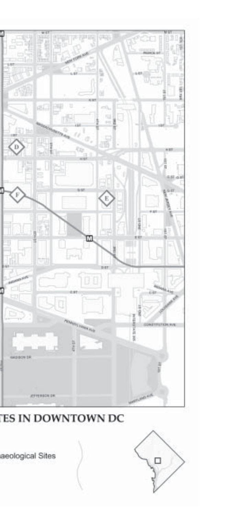

**ES IN DOWNTOWN DC** 

aeological Sites

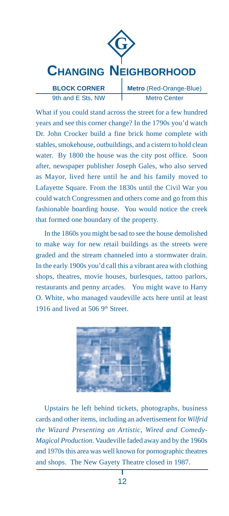

What if you could stand across the street for a few hundred years and see this corner change? In the 1790s you'd watch Dr. John Crocker build a fine brick home complete with stables, smokehouse, outbuildings, and a cistern to hold clean water. By 1800 the house was the city post office. Soon after, newspaper publisher Joseph Gales, who also served as Mayor, lived here until he and his family moved to Lafayette Square. From the 1830s until the Civil War you could watch Congressmen and others come and go from this fashionable boarding house. You would notice the creek that formed one boundary of the property.

In the 1860s you might be sad to see the house demolished to make way for new retail buildings as the streets were graded and the stream channeled into a stormwater drain. In the early 1900s you'd call this a vibrant area with clothing shops, theatres, movie houses, burlesques, tattoo parlors, restaurants and penny arcades. You might wave to Harry O. White, who managed vaudeville acts here until at least 1916 and lived at 506  $9<sup>th</sup>$  Street.



Upstairs he left behind tickets, photographs, business cards and other items, including an advertisement for *Wilfrid the Wizard Presenting an Artistic, Wired and Comedy-Magical Production*. Vaudeville faded away and by the 1960s and 1970s this area was well known for pornographic theatres and shops. The New Gayety Theatre closed in 1987.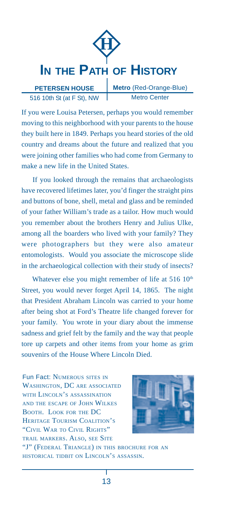

516 10th St (at F St), NW

**Metro** (Red-Orange-Blue) Metro Center

If you were Louisa Petersen, perhaps you would remember moving to this neighborhood with your parents to the house they built here in 1849. Perhaps you heard stories of the old country and dreams about the future and realized that you were joining other families who had come from Germany to make a new life in the United States.

 If you looked through the remains that archaeologists have recovered lifetimes later, you'd finger the straight pins and buttons of bone, shell, metal and glass and be reminded of your father William's trade as a tailor. How much would you remember about the brothers Henry and Julius Ulke, among all the boarders who lived with your family? They were photographers but they were also amateur entomologists. Would you associate the microscope slide in the archaeological collection with their study of insects?

Whatever else you might remember of life at 516 10<sup>th</sup> Street, you would never forget April 14, 1865. The night that President Abraham Lincoln was carried to your home after being shot at Ford's Theatre life changed forever for your family. You wrote in your diary about the immense sadness and grief felt by the family and the way that people tore up carpets and other items from your home as grim souvenirs of the House Where Lincoln Died.

Fun Fact: NUMEROUS SITES IN WASHINGTON, DC ARE ASSOCIATED WITH LINCOLN'S ASSASSINATION AND THE ESCAPE OF JOHN WILKES BOOTH. LOOK FOR THE DC HERITAGE TOURISM COALITION'S "CIVIL WAR TO CIVIL RIGHTS" TRAIL MARKERS. ALSO, SEE SITE



"J" (FEDERAL TRIANGLE) IN THIS BROCHURE FOR AN HISTORICAL TIDBIT ON LINCOLN'S ASSASSIN.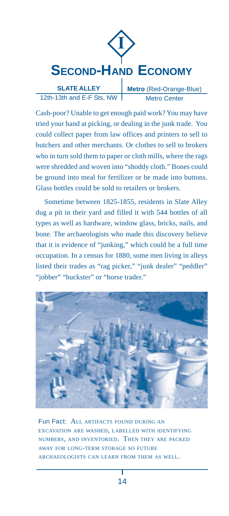

12th-13th and E-F Sts, NW Metro Center

Cash-poor? Unable to get enough paid work? You may have tried your hand at picking, or dealing in the junk trade. You could collect paper from law offices and printers to sell to butchers and other merchants. Or clothes to sell to brokers who in turn sold them to paper or cloth mills, where the rags were shredded and woven into "shoddy cloth." Bones could be ground into meal for fertilizer or be made into buttons. Glass bottles could be sold to retailers or brokers.

Sometime between 1825-1855, residents in Slate Alley dug a pit in their yard and filled it with 544 bottles of all types as well as hardware, window glass, bricks, nails, and bone. The archaeologists who made this discovery believe that it is evidence of "junking," which could be a full time occupation. In a census for 1880, some men living in alleys listed their trades as "rag picker," "junk dealer" "peddler" "jobber" "huckster" or "horse trader."



Fun Fact: ALL ARTIFACTS FOUND DURING AN EXCAVATION ARE WASHED, LABELLED WITH IDENTIFYING NUMBERS, AND INVENTORIED. THEN THEY ARE PACKED AWAY FOR LONG-TERM STORAGE SO FUTURE ARCHAEOLOGISTS CAN LEARN FROM THEM AS WELL.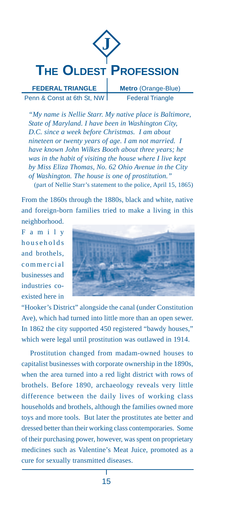

**FEDERAL TRIANGLE** Penn & Const at 6th St, NW **Metro** (Orange-Blue) Federal Triangle

*"My name is Nellie Starr. My native place is Baltimore, State of Maryland. I have been in Washington City, D.C. since a week before Christmas. I am about nineteen or twenty years of age. I am not married. I have known John Wilkes Booth about three years; he was in the habit of visiting the house where I live kept by Miss Eliza Thomas, No. 62 Ohio Avenue in the City of Washington. The house is one of prostitution."* (part of Nellie Starr's statement to the police, April 15, 1865)

From the 1860s through the 1880s, black and white, native and foreign-born families tried to make a living in this neighborhood.

Family households and brothels, commercial businesses and industries coexisted here in



"Hooker's District" alongside the canal (under Constitution Ave), which had turned into little more than an open sewer. In 1862 the city supported 450 registered "bawdy houses," which were legal until prostitution was outlawed in 1914.

Prostitution changed from madam-owned houses to capitalist businesses with corporate ownership in the 1890s, when the area turned into a red light district with rows of brothels. Before 1890, archaeology reveals very little difference between the daily lives of working class households and brothels, although the families owned more toys and more tools. But later the prostitutes ate better and dressed better than their working class contemporaries. Some of their purchasing power, however, was spent on proprietary medicines such as Valentine's Meat Juice, promoted as a cure for sexually transmitted diseases.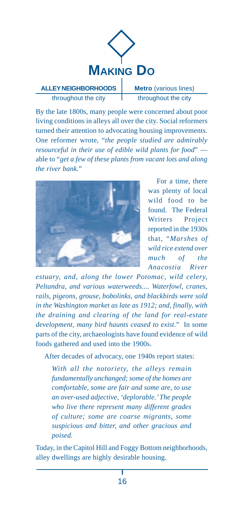

## **ALLEY NEIGHBORHOODS** throughout the city

**Metro** (various lines) throughout the city

By the late 1800s, many people were concerned about poor living conditions in alleys all over the city. Social reformers turned their attention to advocating housing improvements. One reformer wrote, "*the people studied are admirably resourceful in their use of edible wild plants for food*" able to "*get a few of these plants from vacant lots and along the river bank.*"



For a time, there was plenty of local wild food to be found. The Federal Writers Project reported in the 1930s that, "*Marshes of wild rice extend over much of the Anacostia River*

*estuary, and, along the lower Potomac, wild celery, Peltandra, and various waterweeds.... Waterfowl, cranes, rails, pigeons, grouse, bobolinks, and blackbirds were sold in the Washington market as late as 1912; and, finally, with the draining and clearing of the land for real-estate development, many bird haunts ceased to exist*." In some parts of the city, archaeologists have found evidence of wild foods gathered and used into the 1900s.

After decades of advocacy, one 1940s report states:

*With all the notoriety, the alleys remain fundamentally unchanged; some of the homes are comfortable, some are fair and some are, to use an over-used adjective, 'deplorable.' The people who live there represent many different grades of culture; some are coarse migrants, some suspicious and bitter, and other gracious and poised.*

Today, in the Capitol Hill and Foggy Bottom neighborhoods, alley dwellings are highly desirable housing.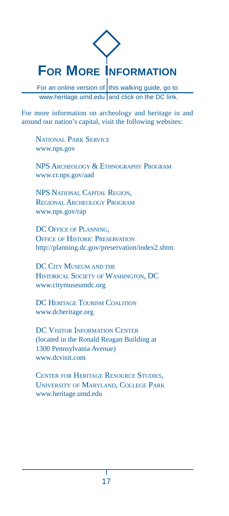# **FOR MORE INFORMATION**

For an online version of this walking guide, go to www.heritage.umd.edu and click on the DC link.

For more information on archeology and heritage in and around our nation's capital, visit the following websites:

NATIONAL PARK SERVICE www.nps.gov

NPS ARCHEOLOGY & ETHNOGRAPHY PROGRAM www.cr.nps.gov/aad

NPS NATIONAL CAPITAL REGION, REGIONAL ARCHEOLOGY PROGRAM www.nps.gov/rap

DC OFFICE OF PLANNING. OFFICE OF HISTORIC PRESERVATION http://planning.dc.gov/preservation/index2.shtm

DC CITY MUSEUM AND THE HISTORICAL SOCIETY OF WASHINGTON, DC www.citymuseumdc.org

DC HERITAGE TOURISM COALITION www.dcheritage.org

DC VISITOR INFORMATION CENTER (located in the Ronald Reagan Building at 1300 Pennsylvania Avenue) www.dcvisit.com

CENTER FOR HERITAGE RESOURCE STUDIES, UNIVERSITY OF MARYLAND, COLLEGE PARK www.heritage.umd.edu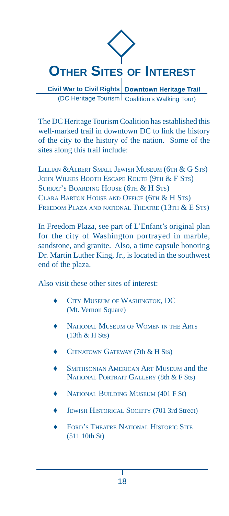

**Civil War to Civil Rights | Downtown Heritage Trail** (DC Heritage Tourism Coalition's Walking Tour)

The DC Heritage Tourism Coalition has established this well-marked trail in downtown DC to link the history of the city to the history of the nation. Some of the sites along this trail include:

LILLIAN & ALBERT SMALL JEWISH MUSEUM (6TH & G STS) JOHN WILKES BOOTH ESCAPE ROUTE (9TH & F STS) SURRAT'S BOARDING HOUSE (6TH & H STS) CLARA BARTON HOUSE AND OFFICE (6TH & H STS) FREEDOM PLAZA AND NATIONAL THEATRE (13TH & E STS)

In Freedom Plaza, see part of L'Enfant's original plan for the city of Washington portrayed in marble, sandstone, and granite. Also, a time capsule honoring Dr. Martin Luther King, Jr., is located in the southwest end of the plaza.

Also visit these other sites of interest:

- CITY MUSEUM OF WASHINGTON, DC (Mt. Vernon Square)
- NATIONAL MUSEUM OF WOMEN IN THE ARTS (13th & H Sts)
- CHINATOWN GATEWAY (7th & H Sts)
- **SMITHSONIAN AMERICAN ART MUSEUM and the** NATIONAL PORTRAIT GALLERY (8th & F Sts)
- NATIONAL BUILDING MUSEUM (401 F St)
- JEWISH HISTORICAL SOCIETY (701 3rd Street)
- FORD'S THEATRE NATIONAL HISTORIC SITE (511 10th St)